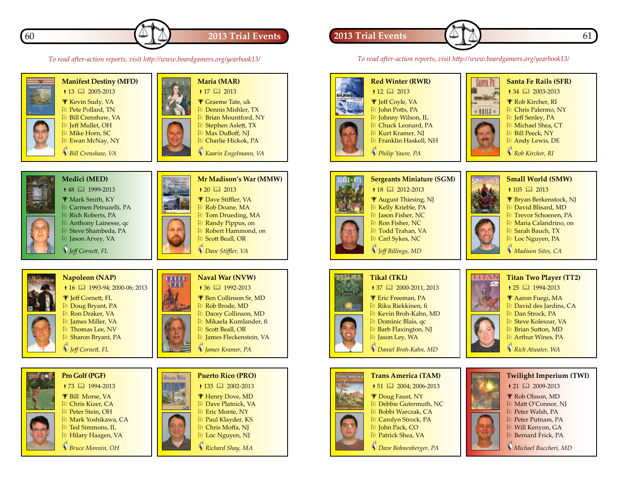

*To read after-action reports, visit http://www.boardgamers.org/yearbook13/*

### **2013 Trial Events 1 A A A 1 A 1 A 1 61**

*To read after-action reports, visit http://www.boardgamers.org/yearbook13/*



 $\bullet$  12  $\Box$  2013 **F** Jeff Coyle, VA Pu John Potts, PA O  Johnny Wilson, IL Pu Chuck Leonard, PA **D** Kurt Kramer, NJ O  Franklin Haskell, NH

ANYA PA m Gri + RAILS +

### **Santa Fe Rails (SFR)**

 $\bullet$  34  $\Box$  2003-2013

**P** Rob Kircher, RI

- Pu Chris Palermo, NY
- Pu Jeff Senley, PA
- **P** Michael Shea, CT

Pu Bill Peeck, NY Pu Andy Lewis, DE

 *Rob Kircher, RI*



- $\bullet$  105  $\Box$  2013
- Bryan Berkenstock, NJ
- O  David Blisard, MD
- O  Trevor Schoenen, PA
- O  Maria Calandrino, on
- **Pu** Sarah Bauch, TX Pu Loc Nguyen, PA
- 
- *Madison Sites, CA*



- $\bullet$  25  $\Box$  1994-2013 Aaron Fuegi, MA
- $\overline{p}$  David des Jardins, CA
- O  Dan Strock, PA
- Pu Steve Koleszar, VA
- O  Brian Sutton, MD
- Pu Arthur Wines, PA
- *Rich Atwater, WA*



- Putnam, PA
- Pu Will Kenyon, GA
- Pu Bernard Frick, PA
- *Michael Buccheri, MD*



 *Jeff Cornett, FL*



# $\bullet$  73  $\Box$  1994-2013

 Bill Morse, VA **Pu** Chris Kizer, CA O  Peter Stein, OH Pu Mark Yoshikawa, CA

Pu Ted Simmons, IL

 *Bruce Monnin, OH*





 *James Kramer, PA*





### **Trans America (TAM)**  $\uparrow$  51  $\Box$  2004: 2006-2013 Doug Faust, NY **Pu** Debbie Gutermuth, NC

O  Bobbi Warczak, CA Pu Carolyn Strock, PA Pu John Pack, CO

Patrick Shea, VA

 *Dave Bohnenberger, PA*

























 *Philip Yaure, PA*

**Sergeants Miniature (SGM)**  $\bullet$  18  $\Box$  2012-2013 August Thiesing, NJ Pu Kelly Krieble, PA **D** Jason Fisher, NC **Pu** Ron Fisher, NC Pu Todd Trahan, VA

Pu Carl Sykes, NC

 *Jeff Billings, MD*

## **Tikal (TKL)**

### $\uparrow$  37  $\Box$  2000-2011, 2013

- **F** Eric Freeman, PA O  Riku Riekkinen, fi
- O  Kevin Broh-Kahn, MD
- Pu Dominic Blais, qc
- Pu Barb Flaxington, NJ
- Pu Jason Ley, WA
- *Daniel Broh-Kahn, MD*







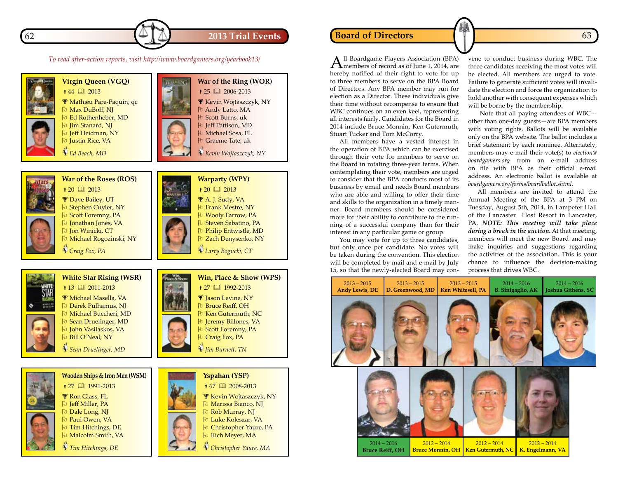

Pu Christopher Yaure, PA Pu Rich Meyer, MA  *Christopher Yaure, MA*

*To read after-action reports, visit http://www.boardgamers.org/yearbook13/*



Pu Tim Hitchings, DE Pu Malcolm Smith, VA  *Tim Hitchings, DE*



All Boardgame Players Association (BPA) members of record as of June 1, 2014, are hereby notified of their right to vote for up to three members to serve on the BPA Board of Directors. Any BPA member may run for election as a Director. These individuals give their time without recompense to ensure that WBC continues on an even keel, representing all interests fairly. Candidates for the Board in 2014 include Bruce Monnin, Ken Gutermuth, Stuart Tucker and Tom McCorry.

All members have a vested interest in the operation of BPA which can be exercised through their vote for members to serve on the Board in rotating three-year terms. When contemplating their vote, members are urged to consider that the BPA conducts most of its business by email and needs Board members who are able and willing to offer their time and skills to the organization in a timely manner. Board members should be considered more for their ability to contribute to the running of a successful company than for their interest in any particular game or group.

You may vote for up to three candidates, but only once per candidate. No votes will be taken during the convention. This election will be completed by mail and e-mail by July 15, so that the newly-elected Board may convene to conduct business during WBC. The three candidates receiving the most votes will be elected. All members are urged to vote. Failure to generate sufficient votes will invalidate the election and force the organization to hold another with consequent expenses which will be borne by the membership.

 Note that all paying attendees of WBC other than one-day guests—are BPA members with voting rights. Ballots will be available only on the BPA website. The ballot includes a brief statement by each nominee. Alternately, members may e-mail their vote(s) to *election@ boardgamers.org* from an e-mail address on file with BPA as their official e-mail address. An electronic ballot is available at *boardgamers.org/forms/boardballot.shtml.*

All members are invited to attend the Annual Meeting of the BPA at 3 PM on Tuesday, August 5th, 2014, in Lampeter Hall of the Lancaster Host Resort in Lancaster, PA. *NOTE: This meeting will take place during a break in the auction.* At that meeting, members will meet the new Board and may make inquiries and suggestions regarding the activities of the association. This is your chance to influence the decision-making process that drives WBC.